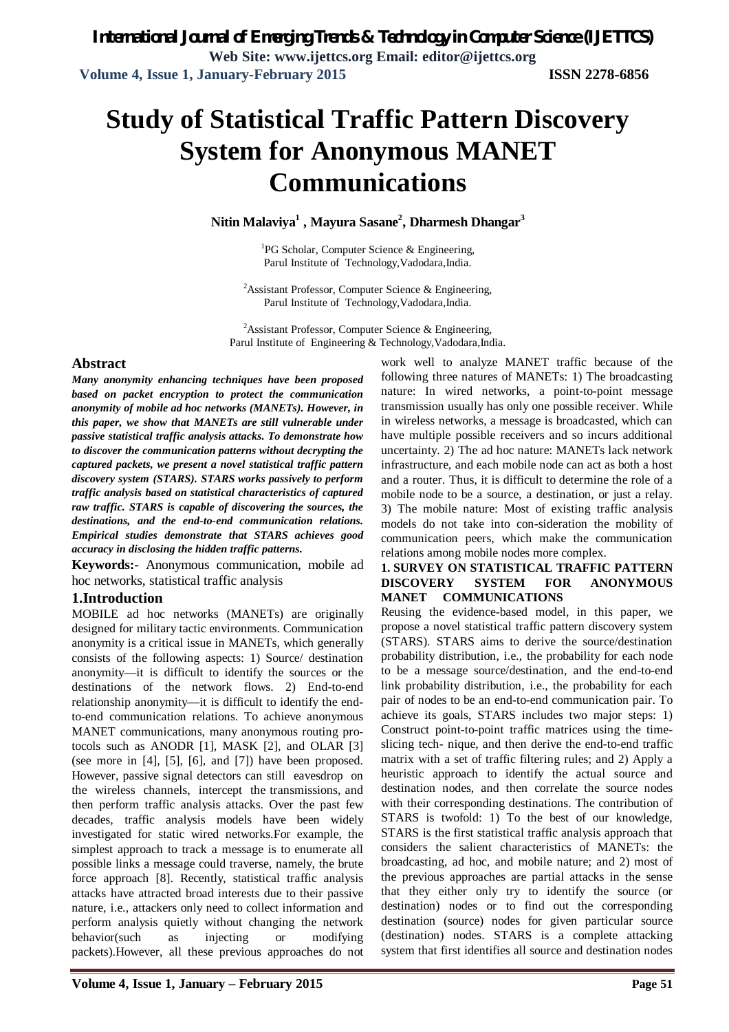# **Study of Statistical Traffic Pattern Discovery System for Anonymous MANET Communications**

**Nitin Malaviya<sup>1</sup> , Mayura Sasane<sup>2</sup> , Dharmesh Dhangar<sup>3</sup>**

<sup>1</sup>PG Scholar, Computer Science & Engineering, Parul Institute of Technology,Vadodara,India.

<sup>2</sup>Assistant Professor, Computer Science & Engineering, Parul Institute of Technology,Vadodara,India.

<sup>2</sup>Assistant Professor, Computer Science & Engineering, Parul Institute of Engineering & Technology,Vadodara,India.

### **Abstract**

*Many anonymity enhancing techniques have been proposed based on packet encryption to protect the communication anonymity of mobile ad hoc networks (MANETs). However, in this paper, we show that MANETs are still vulnerable under passive statistical traffic analysis attacks. To demonstrate how to discover the communication patterns without decrypting the captured packets, we present a novel statistical traffic pattern discovery system (STARS). STARS works passively to perform traffic analysis based on statistical characteristics of captured raw traffic. STARS is capable of discovering the sources, the destinations, and the end-to-end communication relations. Empirical studies demonstrate that STARS achieves good accuracy in disclosing the hidden traffic patterns.*

**Keywords:-** Anonymous communication, mobile ad hoc networks, statistical traffic analysis

### **1.Introduction**

MOBILE ad hoc networks (MANETs) are originally designed for military tactic environments. Communication anonymity is a critical issue in MANETs, which generally consists of the following aspects: 1) Source/ destination anonymity—it is difficult to identify the sources or the destinations of the network flows. 2) End-to-end relationship anonymity—it is difficult to identify the endto-end communication relations. To achieve anonymous MANET communications, many anonymous routing protocols such as ANODR [1], MASK [2], and OLAR [3] (see more in [4], [5], [6], and [7]) have been proposed. However, passive signal detectors can still eavesdrop on the wireless channels, intercept the transmissions, and then perform traffic analysis attacks. Over the past few decades, traffic analysis models have been widely investigated for static wired networks.For example, the simplest approach to track a message is to enumerate all possible links a message could traverse, namely, the brute force approach [8]. Recently, statistical traffic analysis attacks have attracted broad interests due to their passive nature, i.e., attackers only need to collect information and perform analysis quietly without changing the network behavior(such as injecting or modifying packets).However, all these previous approaches do not

work well to analyze MANET traffic because of the following three natures of MANETs: 1) The broadcasting nature: In wired networks, a point-to-point message transmission usually has only one possible receiver. While in wireless networks, a message is broadcasted, which can have multiple possible receivers and so incurs additional uncertainty. 2) The ad hoc nature: MANETs lack network infrastructure, and each mobile node can act as both a host and a router. Thus, it is difficult to determine the role of a mobile node to be a source, a destination, or just a relay. 3) The mobile nature: Most of existing traffic analysis models do not take into con-sideration the mobility of communication peers, which make the communication relations among mobile nodes more complex.

### **1. SURVEY ON STATISTICAL TRAFFIC PATTERN DISCOVERY SYSTEM FOR ANONYMOUS MANET COMMUNICATIONS**

Reusing the evidence-based model, in this paper, we propose a novel statistical traffic pattern discovery system (STARS). STARS aims to derive the source/destination probability distribution, i.e., the probability for each node to be a message source/destination, and the end-to-end link probability distribution, i.e., the probability for each pair of nodes to be an end-to-end communication pair. To achieve its goals, STARS includes two major steps: 1) Construct point-to-point traffic matrices using the timeslicing tech- nique, and then derive the end-to-end traffic matrix with a set of traffic filtering rules; and 2) Apply a heuristic approach to identify the actual source and destination nodes, and then correlate the source nodes with their corresponding destinations. The contribution of STARS is twofold: 1) To the best of our knowledge, STARS is the first statistical traffic analysis approach that considers the salient characteristics of MANETs: the broadcasting, ad hoc, and mobile nature; and 2) most of the previous approaches are partial attacks in the sense that they either only try to identify the source (or destination) nodes or to find out the corresponding destination (source) nodes for given particular source (destination) nodes. STARS is a complete attacking system that first identifies all source and destination nodes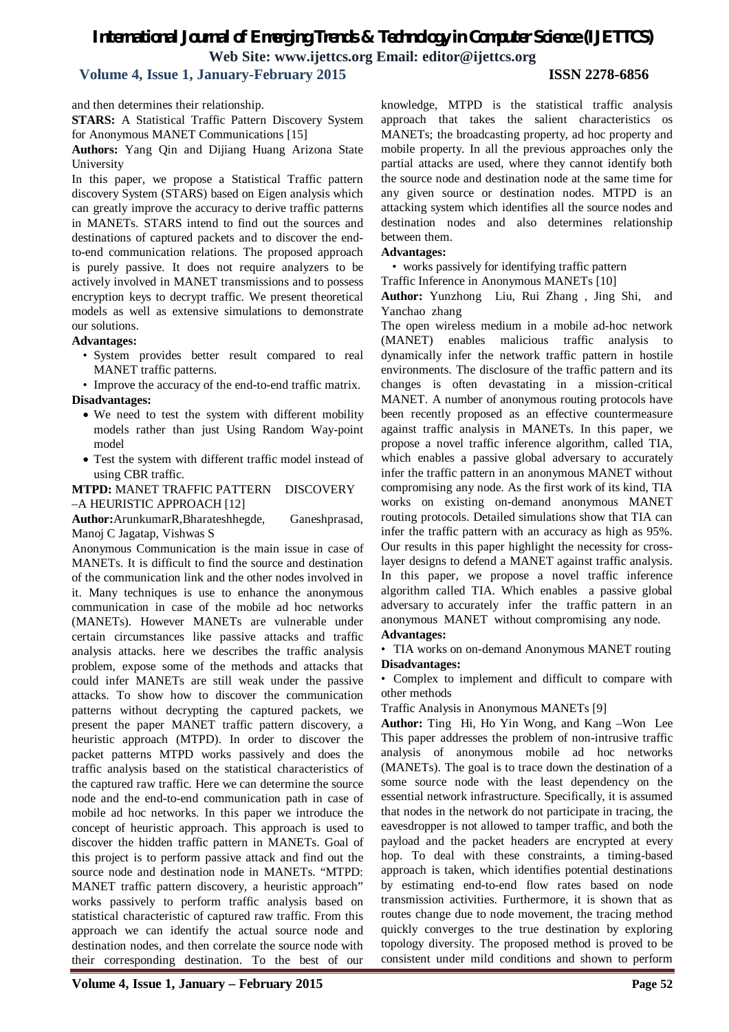# *International Journal of Emerging Trends & Technology in Computer Science (IJETTCS)* **Web Site: www.ijettcs.org Email: editor@ijettcs.org**

## **Volume 4, Issue 1, January-February 2015 ISSN 2278-6856**

and then determines their relationship.

**STARS:** A Statistical Traffic Pattern Discovery System for Anonymous MANET Communications [15]

**Authors:** Yang Qin and Dijiang Huang Arizona State University

In this paper, we propose a Statistical Traffic pattern discovery System (STARS) based on Eigen analysis which can greatly improve the accuracy to derive traffic patterns in MANETs. STARS intend to find out the sources and destinations of captured packets and to discover the endto-end communication relations. The proposed approach is purely passive. It does not require analyzers to be actively involved in MANET transmissions and to possess encryption keys to decrypt traffic. We present theoretical models as well as extensive simulations to demonstrate our solutions.

### **Advantages:**

• System provides better result compared to real MANET traffic patterns.

• Improve the accuracy of the end-to-end traffic matrix. **Disadvantages:**

- We need to test the system with different mobility models rather than just Using Random Way-point model
- Test the system with different traffic model instead of using CBR traffic.

### **MTPD:** MANET TRAFFIC PATTERN DISCOVERY –A HEURISTIC APPROACH [12]

**Author:**ArunkumarR,Bharateshhegde, Ganeshprasad, Manoj C Jagatap, Vishwas S

Anonymous Communication is the main issue in case of MANETs. It is difficult to find the source and destination of the communication link and the other nodes involved in it. Many techniques is use to enhance the anonymous communication in case of the mobile ad hoc networks (MANETs). However MANETs are vulnerable under certain circumstances like passive attacks and traffic analysis attacks. here we describes the traffic analysis problem, expose some of the methods and attacks that could infer MANETs are still weak under the passive attacks. To show how to discover the communication patterns without decrypting the captured packets, we present the paper MANET traffic pattern discovery, a heuristic approach (MTPD). In order to discover the packet patterns MTPD works passively and does the traffic analysis based on the statistical characteristics of the captured raw traffic. Here we can determine the source node and the end-to-end communication path in case of mobile ad hoc networks. In this paper we introduce the concept of heuristic approach. This approach is used to discover the hidden traffic pattern in MANETs. Goal of this project is to perform passive attack and find out the source node and destination node in MANETs. "MTPD: MANET traffic pattern discovery, a heuristic approach" works passively to perform traffic analysis based on statistical characteristic of captured raw traffic. From this approach we can identify the actual source node and destination nodes, and then correlate the source node with their corresponding destination. To the best of our

knowledge, MTPD is the statistical traffic analysis approach that takes the salient characteristics os MANETs; the broadcasting property, ad hoc property and mobile property. In all the previous approaches only the partial attacks are used, where they cannot identify both the source node and destination node at the same time for any given source or destination nodes. MTPD is an attacking system which identifies all the source nodes and destination nodes and also determines relationship between them.

### **Advantages:**

• works passively for identifying traffic pattern

Traffic Inference in Anonymous MANETs [10]

**Author:** Yunzhong Liu, Rui Zhang , Jing Shi, and Yanchao zhang

The open wireless medium in a mobile ad-hoc network (MANET) enables malicious traffic analysis to dynamically infer the network traffic pattern in hostile environments. The disclosure of the traffic pattern and its changes is often devastating in a mission-critical MANET. A number of anonymous routing protocols have been recently proposed as an effective countermeasure against traffic analysis in MANETs. In this paper, we propose a novel traffic inference algorithm, called TIA, which enables a passive global adversary to accurately infer the traffic pattern in an anonymous MANET without compromising any node. As the first work of its kind, TIA works on existing on-demand anonymous MANET routing protocols. Detailed simulations show that TIA can infer the traffic pattern with an accuracy as high as 95%. Our results in this paper highlight the necessity for crosslayer designs to defend a MANET against traffic analysis. In this paper, we propose a novel traffic inference algorithm called TIA. Which enables a passive global adversary to accurately infer the traffic pattern in an anonymous MANET without compromising any node.

### **Advantages:**

• TIA works on on-demand Anonymous MANET routing **Disadvantages:**

• Complex to implement and difficult to compare with other methods

Traffic Analysis in Anonymous MANETs [9]

**Author:** Ting Hi, Ho Yin Wong, and Kang –Won Lee This paper addresses the problem of non-intrusive traffic analysis of anonymous mobile ad hoc networks (MANETs). The goal is to trace down the destination of a some source node with the least dependency on the essential network infrastructure. Specifically, it is assumed that nodes in the network do not participate in tracing, the eavesdropper is not allowed to tamper traffic, and both the payload and the packet headers are encrypted at every hop. To deal with these constraints, a timing-based approach is taken, which identifies potential destinations by estimating end-to-end flow rates based on node transmission activities. Furthermore, it is shown that as routes change due to node movement, the tracing method quickly converges to the true destination by exploring topology diversity. The proposed method is proved to be consistent under mild conditions and shown to perform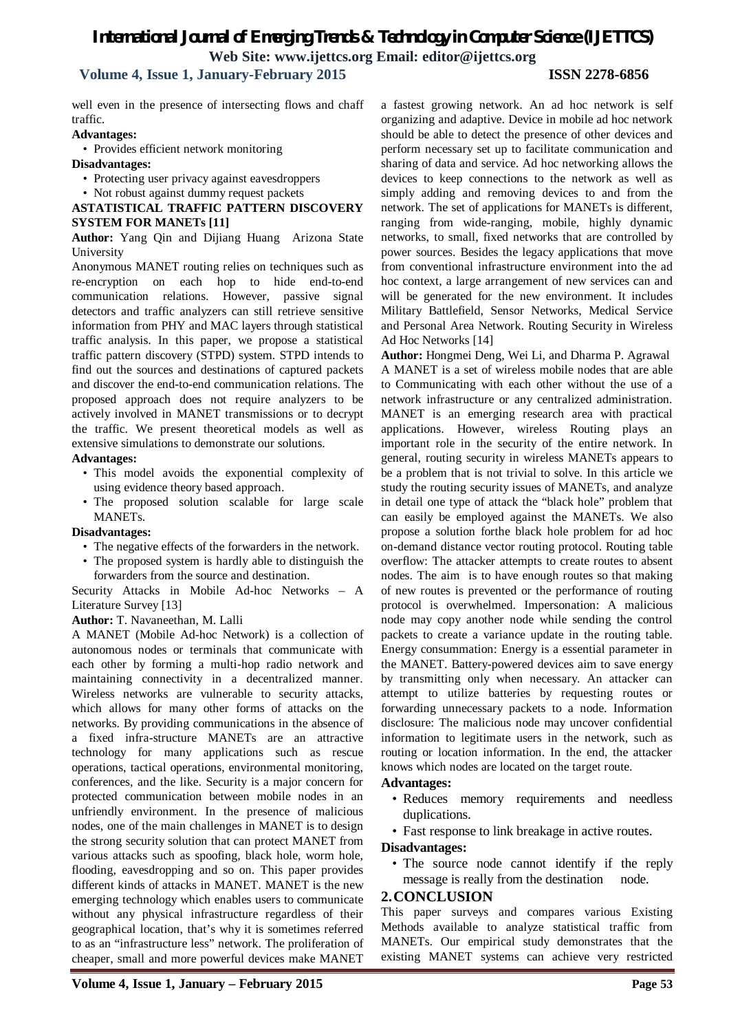# *International Journal of Emerging Trends & Technology in Computer Science (IJETTCS)* **Web Site: www.ijettcs.org Email: editor@ijettcs.org**

### **Volume 4, Issue 1, January-February 2015 ISSN 2278-6856**

well even in the presence of intersecting flows and chaff traffic.

### **Advantages:**

- Provides efficient network monitoring
- **Disadvantages:**
	- Protecting user privacy against eavesdroppers
- Not robust against dummy request packets

### **ASTATISTICAL TRAFFIC PATTERN DISCOVERY SYSTEM FOR MANETs [11]**

**Author:** Yang Qin and Dijiang Huang Arizona State University

Anonymous MANET routing relies on techniques such as re-encryption on each hop to hide end-to-end communication relations. However, passive signal detectors and traffic analyzers can still retrieve sensitive information from PHY and MAC layers through statistical traffic analysis. In this paper, we propose a statistical traffic pattern discovery (STPD) system. STPD intends to find out the sources and destinations of captured packets and discover the end-to-end communication relations. The proposed approach does not require analyzers to be actively involved in MANET transmissions or to decrypt the traffic. We present theoretical models as well as extensive simulations to demonstrate our solutions.

### **Advantages:**

- This model avoids the exponential complexity of using evidence theory based approach.
- The proposed solution scalable for large scale MANETs.

### **Disadvantages:**

- The negative effects of the forwarders in the network.
- The proposed system is hardly able to distinguish the forwarders from the source and destination.

Security Attacks in Mobile Ad-hoc Networks – A Literature Survey [13]

### **Author:** T. Navaneethan, M. Lalli

A MANET (Mobile Ad-hoc Network) is a collection of autonomous nodes or terminals that communicate with each other by forming a multi-hop radio network and maintaining connectivity in a decentralized manner. Wireless networks are vulnerable to security attacks, which allows for many other forms of attacks on the networks. By providing communications in the absence of a fixed infra-structure MANETs are an attractive technology for many applications such as rescue operations, tactical operations, environmental monitoring, conferences, and the like. Security is a major concern for protected communication between mobile nodes in an unfriendly environment. In the presence of malicious nodes, one of the main challenges in MANET is to design the strong security solution that can protect MANET from various attacks such as spoofing, black hole, worm hole, flooding, eavesdropping and so on. This paper provides different kinds of attacks in MANET. MANET is the new emerging technology which enables users to communicate without any physical infrastructure regardless of their geographical location, that's why it is sometimes referred to as an "infrastructure less" network. The proliferation of cheaper, small and more powerful devices make MANET

a fastest growing network. An ad hoc network is self organizing and adaptive. Device in mobile ad hoc network should be able to detect the presence of other devices and perform necessary set up to facilitate communication and sharing of data and service. Ad hoc networking allows the devices to keep connections to the network as well as simply adding and removing devices to and from the network. The set of applications for MANETs is different, ranging from wide-ranging, mobile, highly dynamic networks, to small, fixed networks that are controlled by power sources. Besides the legacy applications that move from conventional infrastructure environment into the ad hoc context, a large arrangement of new services can and will be generated for the new environment. It includes Military Battlefield, Sensor Networks, Medical Service and Personal Area Network. Routing Security in Wireless Ad Hoc Networks [14]

**Author:** Hongmei Deng, Wei Li, and Dharma P. Agrawal A MANET is a set of wireless mobile nodes that are able to Communicating with each other without the use of a network infrastructure or any centralized administration. MANET is an emerging research area with practical applications. However, wireless Routing plays an important role in the security of the entire network. In general, routing security in wireless MANETs appears to be a problem that is not trivial to solve. In this article we study the routing security issues of MANETs, and analyze in detail one type of attack the "black hole" problem that can easily be employed against the MANETs. We also propose a solution forthe black hole problem for ad hoc on-demand distance vector routing protocol. Routing table overflow: The attacker attempts to create routes to absent nodes. The aim is to have enough routes so that making of new routes is prevented or the performance of routing protocol is overwhelmed. Impersonation: A malicious node may copy another node while sending the control packets to create a variance update in the routing table. Energy consummation: Energy is a essential parameter in the MANET. Battery-powered devices aim to save energy by transmitting only when necessary. An attacker can attempt to utilize batteries by requesting routes or forwarding unnecessary packets to a node. Information disclosure: The malicious node may uncover confidential information to legitimate users in the network, such as routing or location information. In the end, the attacker knows which nodes are located on the target route.

### **Advantages:**

- Reduces memory requirements and needless duplications.
- Fast response to link breakage in active routes.

### **Disadvantages:**

• The source node cannot identify if the reply message is really from the destination node.

### **2.CONCLUSION**

This paper surveys and compares various Existing Methods available to analyze statistical traffic from MANETs. Our empirical study demonstrates that the existing MANET systems can achieve very restricted